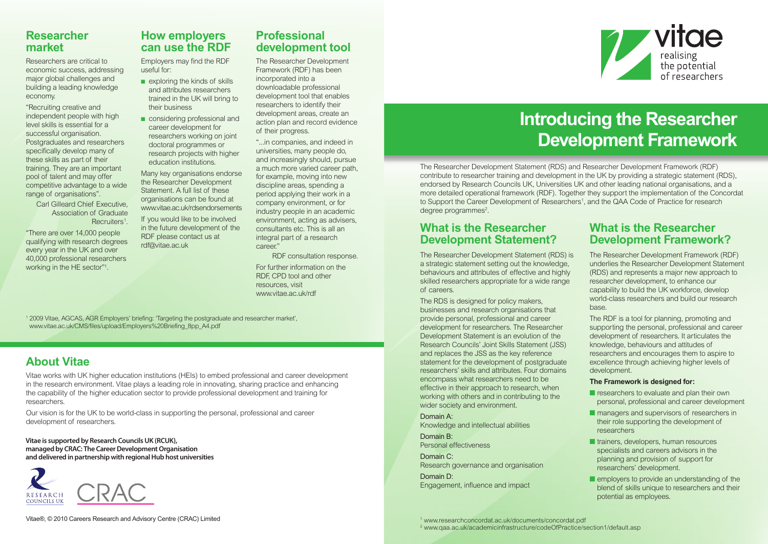### **Researcher market**

Researchers are critical to economic success, addressing major global challenges and building a leading knowledge economy.

"Recruiting creative and independent people with high level skills is essential for a successful organisation. Postgraduates and researchers specifically develop many of these skills as part of their training. They are an important pool of talent and may offer competitive advantage to a wide range of organisations".

Carl Gilleard Chief Executive, Association of Graduate Recruiters<sup>1</sup>.

"There are over 14,000 people qualifying with research degrees every year in the UK and over 40,000 professional researchers working in the HE sector"1 .

## **How employers can use the RDF**

Employers may find the RDF useful for:

- exploring the kinds of skills and attributes researchers trained in the UK will bring to their business
- considering professional and career development for researchers working on joint doctoral programmes or research projects with higher education institutions.

Many key organisations endorse the Researcher Development Statement. A full list of these organisations can be found at [www.vitae.ac.uk/rdsendorsements](http://www.vitae.ac.uk/rdsendorsements)

If you would like to be involved in the future development of the RDF please contact us at [rdf@vitae.ac.uk](mailto:rdf@vitae.ac.uk)

### **Professional development tool**

The Researcher Development Framework (RDF) has been incorporated into a downloadable professional development tool that enables researchers to identify their development areas, create an action plan and record evidence of their progress.

"...in companies, and indeed in universities, many people do, and increasingly should, pursue a much more varied career path, for example, moving into new discipline areas, spending a period applying their work in a company environment, or for industry people in an academic environment, acting as advisers, consultants etc. This is all an integral part of a research career."

RDF consultation response.

For further information on the RDF, CPD tool and other resources, visit [www.vitae.ac.uk/rdf](http://www.vitae.ac.uk/rdf)

<sup>1</sup> 2009 Vitae, AGCAS, AGR Employers' briefing: 'Targeting the postgraduate and researcher market', [www.vitae.ac.uk/CMS/files/upload/Employers%20Briefing\\_8pp\\_A4.pdf](http://www.vitae.ac.uk/CMS/files/upload/Employers%20Briefing_8pp_A4.pdf)

# **About Vitae**

Vitae works with UK higher education institutions (HEIs) to embed professional and career development in the research environment. Vitae plays a leading role in innovating, sharing practice and enhancing the capability of the higher education sector to provide professional development and training for researchers.

Our vision is for the UK to be world-class in supporting the personal, professional and career development of researchers.

**Vitae is supported by Research CouncilsUK (RCUK), managed by CRAC: The CareerDevelopment Organisation and delivered in partnership with regionalHub host universities**





# **Introducing the Researcher Development Framework**

The Researcher Development Statement (RDS) and Researcher Development Framework (RDF) contribute to researcher training and development in the UK by providing a strategic statement (RDS), endorsed by Research Councils UK, Universities UK and other leading national organisations, and a more detailed operational framework (RDF). Together they support the implementation of the Concordat to Support the Career Development of Researchers1 , and the QAA Code of Practice for research degree programmes<sup>2</sup>.

## **What is the Researcher Development Statement?**

The Researcher Development Statement (RDS) is a strategic statement setting out the knowledge, behaviours and attributes of effective and highly skilled researchers appropriate for a wide range of careers.

The RDS is designed for policy makers, businesses and research organisations that provide personal, professional and career development for researchers. The Researcher Development Statement is an evolution of the Research Councils' Joint Skills Statement (JSS) and replaces the JSS as the key reference statement for the development of postgraduate researchers' skills and attributes. Four domains encompass what researchers need to be effective in their approach to research, when working with others and in contributing to the wider society and environment.

Domain A: Knowledge and intellectual abilities Domain B:

Personal effectiveness

Domain C: Research governance and organisation

Domain D: Engagement, influence and impact

## **What is the Researcher Development Framework?**

The Researcher Development Framework (RDF) underlies the Researcher Development Statement (RDS) and represents a major new approach to researcher development, to enhance our capability to build the UK workforce, develop world-class researchers and build our research base.

The RDF is a tool for planning, promoting and supporting the personal, professional and career development of researchers. It articulates the knowledge, behaviours and attitudes of researchers and encourages them to aspire to excellence through achieving higher levels of development.

#### **The Framework is designed for:**

- researchers to evaluate and plan their own personal, professional and career development
- managers and supervisors of researchers in their role supporting the development of researchers
- **■** trainers, developers, human resources specialists and careers advisors in the planning and provision of support for researchers' development.
- employers to provide an understanding of the blend of skills unique to researchers and their potential as employees.

<sup>1</sup> [www.researchconcordat.ac.uk/documents/concordat.pdf](http://www.researchconcordat.ac.uk/documents/concordat.pdf) <sup>2</sup> [www.qaa.ac.uk/academicinfrastructure/codeOfPractice/section1/default.asp](http://www.qaa.ac.uk/academicinfrastructure/codeOfPractice/section1/default.asp)